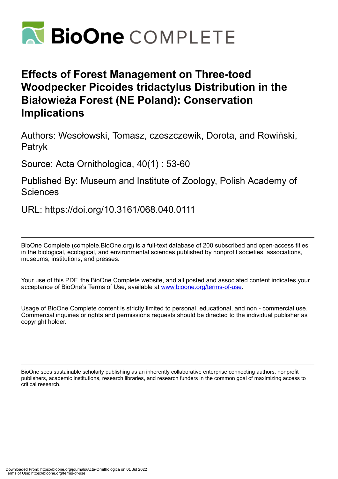

# **Effects of Forest Management on Three-toed Woodpecker Picoides tridactylus Distribution in the Białowieża Forest (NE Poland): Conservation Implications**

Authors: Wesołowski, Tomasz, czeszczewik, Dorota, and Rowiński, Patryk

Source: Acta Ornithologica, 40(1) : 53-60

Published By: Museum and Institute of Zoology, Polish Academy of **Sciences** 

URL: https://doi.org/10.3161/068.040.0111

BioOne Complete (complete.BioOne.org) is a full-text database of 200 subscribed and open-access titles in the biological, ecological, and environmental sciences published by nonprofit societies, associations, museums, institutions, and presses.

Your use of this PDF, the BioOne Complete website, and all posted and associated content indicates your acceptance of BioOne's Terms of Use, available at www.bioone.org/terms-of-use.

Usage of BioOne Complete content is strictly limited to personal, educational, and non - commercial use. Commercial inquiries or rights and permissions requests should be directed to the individual publisher as copyright holder.

BioOne sees sustainable scholarly publishing as an inherently collaborative enterprise connecting authors, nonprofit publishers, academic institutions, research libraries, and research funders in the common goal of maximizing access to critical research.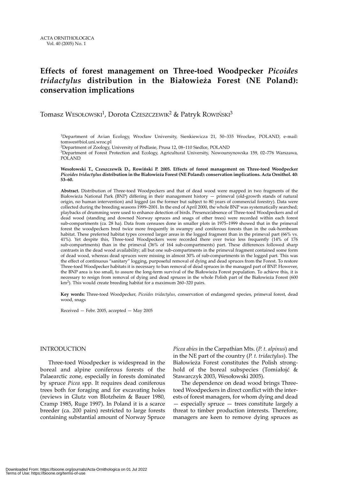# **Effects of forest management on Three-toed Woodpecker** *Picoides tridactylus* **distribution in the Białowieża Forest (NE Poland): conservation implications**

Tomasz WESOŁOWSKI<sup>1</sup>, Dorota Czeszczewik<sup>2</sup> & Patryk ROWIŃSKI<sup>3</sup>

1Department of Avian Ecology, Wrocław University, Sienkiewicza 21, 50–335 Wrocław, POLAND, e-mail: tomwes@biol.uni.wroc.pl

2Department of Zoology, University of Podlasie, Prusa 12, 08–110 Siedlce, POLAND

3Department of Forest Protection and Ecology, Agricultural University, Nowoursynowska 159, 02–776 Warszawa, POLAND

**Wesołowski T., Czeszczewik D., Rowiński P. 2005. Effects of forest management on Three-toed Woodpecker** *Picoides tridactylus* **distribution in the Białowieża Forest (NE Poland): conservation implications. Acta Ornithol. 40: 53–60.**

**Abstract.** Distribution of Three-toed Woodpeckers and that of dead wood were mapped in two fragments of the Białowieża National Park (BNP) differing in their management history — primeval (old-growth stands of natural origin, no human intervention) and logged (as the former but subject to 80 years of commercial forestry). Data were collected during the breeding seasons 1999–2001. In the end of April 2000, the whole BNP was systematically searched; playbacks of drumming were used to enhance detection of birds. Presence/absence of Three-toed Woodpeckers and of dead wood (standing and downed Norway spruces and snags of other trees) were recorded within each forest sub-compartments (ca. 28 ha). Data from censuses done in smaller plots in 1975–1999 showed that in the primeval forest the woodpeckers bred twice more frequently in swampy and coniferous forests than in the oak-hornbeam habitat. These preferred habitat types covered larger areas in the logged fragment than in the primeval part (66% vs. 41%). Yet despite this, Three-toed Woodpeckers were recorded there over twice less frequently (14% of 176 sub-compartments) than in the primeval (36% of 164 sub-compartments) part. These differences followed sharp contrasts in the dead wood availability; all but one sub-compartments in the primeval fragment contained some form of dead wood, whereas dead spruces were missing in almost 30% of sub-compartments in the logged part. This was the effect of continuous "sanitary" logging, purposeful removal of dying and dead spruces from the Forest. To restore Three-toed Woodpecker habitats it is necessary to ban removal of dead spruces in the managed part of BNP. However, the BNP area is too small, to assure the long-term survival of the Białowieża Forest population. To achieve this, it is necessary to resign from removal of dying and dead spruces in the whole Polish part of the Białowieża Forest (600 km2). This would create breeding habitat for a maximum 260–320 pairs.

**Key words:** Three-toed Woodpecker, *Picoides tridactylus*, conservation of endangered species, primeval forest, dead wood, snags

Received — Febr. 2005, accepted — May 2005

## INTRODUCTION

Three-toed Woodpecker is widespread in the boreal and alpine coniferous forests of the Palaearctic zone, especially in forests dominated by spruce *Picea* spp. It requires dead coniferous trees both for foraging and for excavating holes (reviews in Glutz von Blotzheim & Bauer 1980, Cramp 1985, Ruge 1997). In Poland it is a scarce breeder (ca. 200 pairs) restricted to large forests containing substantial amount of Norway Spruce

*Picea abies* in the Carpathian Mts. (*P. t. alpinus*) and in the NE part of the country (*P. t. tridactylus*). The Białowieża Forest constitutes the Polish stronghold of the boreal subspecies (Tomiałojć & Stawarczyk 2003, Wesołowski 2005).

The dependence on dead wood brings Threetoed Woodpeckers in direct conflict with the interests of forest managers, for whom dying and dead — especially spruce — trees constitute largely a threat to timber production interests. Therefore, managers are keen to remove dying spruces as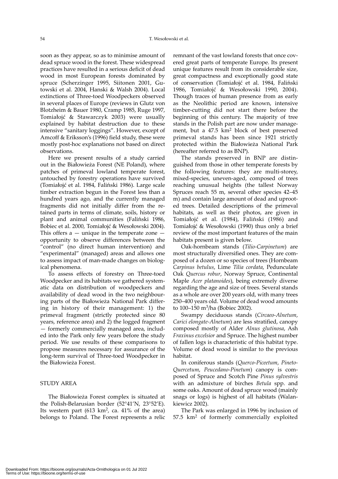soon as they appear, so as to minimise amount of dead spruce wood in the forest. These widespread practices have resulted in a serious deficit of dead wood in most European forests dominated by spruce (Scherzinger 1995, Siitonen 2001, Gutowski et al. 2004, Hanski & Walsh 2004). Local extinctions of Three-toed Woodpeckers observed in several places of Europe (reviews in Glutz von Blotzheim & Bauer 1980, Cramp 1985, Ruge 1997, Tomiałojć & Stawarczyk 2003) were usually explained by habitat destruction due to these intensive "sanitary loggings". However, except of Amcoff & Eriksson's (1996) field study, these were mostly post-hoc explanations not based on direct observations.

Here we present results of a study carried out in the Białowieża Forest (NE Poland), where patches of primeval lowland temperate forest, untouched by forestry operations have survived (Tomiałojć et al. 1984, Faliński 1986). Large scale timber extraction begun in the Forest less than a hundred years ago, and the currently managed fragments did not initially differ from the retained parts in terms of climate, soils, history or plant and animal communities (Faliński 1986, Bobiec et al. 2000, Tomiałojć & Wesołowski 2004). This offers  $a -$  unique in the temperate zone  $$ opportunity to observe differences between the "control" (no direct human intervention) and "experimental" (managed) areas and allows one to assess impact of man-made changes on biological phenomena.

To assess effects of forestry on Three-toed Woodpecker and its habitats we gathered systematic data on distribution of woodpeckers and availability of dead wood in the two neighbouring parts of the Białowieża National Park differing in history of their management: 1) the primeval fragment (strictly protected since 80 years, reference area) and 2) the logged fragment — formerly commercially managed area, included into the Park only few years before the study period. We use results of these comparisons to propose measures necessary for assurance of the long-term survival of Three-toed Woodpecker in the Białowieża Forest.

# STUDY AREA

The Białowieża Forest complex is situated at the Polish-Belarusian border (52°41'N, 23°52'E). Its western part  $(613 \text{ km}^2, \text{ca. } 41\% \text{ of the area})$ belongs to Poland. The Forest represents a relic remnant of the vast lowland forests that once covered great parts of temperate Europe. Its present unique features result from its considerable size, great compactness and exceptionally good state of conservation (Tomiałojć et al. 1984, Faliński 1986, Tomiałojć & Wesołowski 1990, 2004). Though traces of human presence from as early as the Neolithic period are known, intensive timber-cutting did not start there before the beginning of this century. The majority of tree stands in the Polish part are now under management, but a 47.5 km<sup>2</sup> block of best preserved primeval stands has been since 1921 strictly protected within the Białowieża National Park (hereafter referred to as BNP).

The stands preserved in BNP are distinguished from those in other temperate forests by the following features: they are multi-storey, mixed-species, uneven-aged, composed of trees reaching unusual heights (the tallest Norway Spruces reach 55 m, several other species 42–45 m) and contain large amount of dead and uprooted trees. Detailed descriptions of the primeval habitats, as well as their photos, are given in Tomiałojć et al. (1984), Faliński (1986) and Tomiałojć & Wesołowski (1990) thus only a brief review of the most important features of the main habitats present is given below.

Oak-hornbeam stands (*Tilio-Carpinetum*) are most structurally diversified ones. They are composed of a dozen or so species of trees (Hornbeam *Carpinus betulus*, Lime *Tilia cordata*, Pedunculate Oak *Quercus robur*, Norway Spruce, Continental Maple *Acer platanoides*), being extremely diverse regarding the age and size of trees. Several stands as a whole are over 200 years old, with many trees 250–400 years old. Volume of dead wood amounts to 100–150 m3/ha (Bobiec 2002).

Swampy deciduous stands (*Circaeo-Alnetum*, *Carici elongate-Alnetum*) are less stratified, canopy composed mostly of Alder *Alnus glutinosa*, Ash *Fraxinus excelsior* and Spruce. The highest number of fallen logs is characteristic of this habitat type. Volume of dead wood is similar to the previous habitat.

In coniferous stands (*Querco-Piceetum*, *Pineto-Quercetum*, *Peucedano-Pinetum*) canopy is composed of Spruce and Scotch Pine *Pinus sylvestris* with an admixture of birches *Betula* spp. and some oaks. Amount of dead spruce wood (mainly snags or logs) is highest of all habitats (Walankiewicz 2002).

The Park was enlarged in 1996 by inclusion of 57.5 km<sup>2</sup> of formerly commercially exploited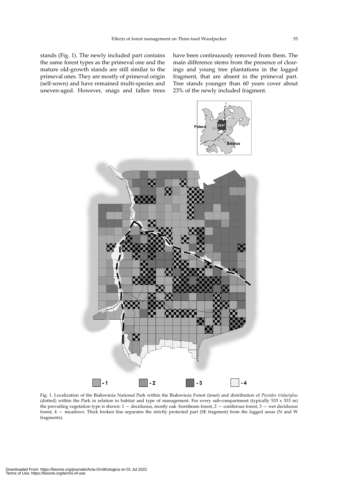stands (Fig. 1). The newly included part contains the same forest types as the primeval one and the mature old-growth stands are still similar to the primeval ones. They are mostly of primeval origin (self-sown) and have remained multi-species and uneven-aged. However, snags and fallen trees have been continuously removed from them. The main difference stems from the presence of clearings and young tree plantations in the logged fragment, that are absent in the primeval part. Tree stands younger than 60 years cover about 23% of the newly included fragment.



Fig. 1. Localization of the Białowieża National Park within the Białowieża Forest (inset) and distribution of *Picoides tridactylus* (dotted) within the Park in relation to habitat and type of management. For every sub-compartment (typically 533 x 533 m) the prevailing vegetation type is shown:  $1$  — deciduous, mostly oak -hornbeam forest,  $2$  — coniferous forest,  $3$  — wet deciduous forest, 4 — meadows. Thick broken line separates the strictly protected part (SE fragment) from the logged areas (N and W fragments).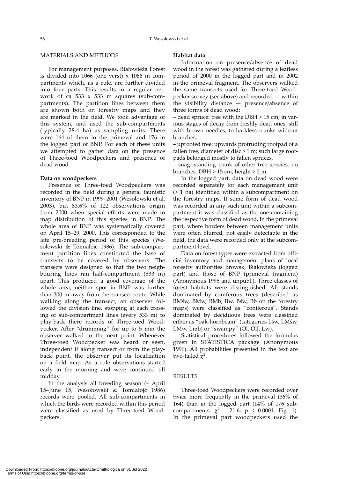#### MATERIALS AND METHODS

For management purposes, Białowieża Forest is divided into 1066 (one verst) x 1066 m compartments which, as a rule, are further divided into four parts. This results in a regular network of ca 533 x 533 m squares (sub-compartments). The partition lines between them are shown both on forestry maps and they are marked in the field. We took advantage of this system, and used the sub-compartments (typically 28.4 ha) as sampling units. There were 164 of them in the primeval and 176 in the logged part of BNP. For each of these units we attempted to gather data on the presence of Three-toed Woodpeckers and presence of dead wood.

## **Data on woodpeckers**

Presence of Three-toed Woodpeckers was recorded in the field during a general faunistic inventory of BNP in 1999–2001 (Wesołowski et al. 2003), but 83.6% of 122 observations origin from 2000 when special efforts were made to map distribution of this species in BNP. The whole area of BNP was systematically covered on April 15–29, 2000. This corresponded to the late pre-breeding period of this species (Wesołowski & Tomiałojć 1986). The sub-compartment partition lines constituted the base of transects to be covered by observers. The transects were designed so that the two neighbouring lines ran half-compartment (533 m) apart. This produced a good coverage of the whole area, neither spot in BNP was further than 300 m away from the transect route. While walking along the transect, an observer followed the division line, stopping at each crossing of sub-compartment lines (every 533 m) to play-back there records of Three-toed Woodpecker. After "drumming" for up to 5 min the observer walked to the next point. Whenever Three-toed Woodpecker was heard or seen, independent if along transect or from the playback point, the observer put its localization on a field map. As a rule observations started early in the morning and were continued till midday.

In the analysis all breeding season (= April 15–June 15, Wesołowski & Tomiałojć 1986) records were pooled. All sub-compartments in which the birds were recorded within this period were classified as used by Three-toed Woodpeckers.

## **Habitat data**

Information on presence/absence of dead wood in the forest was gathered during a leafless period of 2000 in the logged part and in 2002 in the primeval fragment. The observers walked the same transects used for Three-toed Woodpecker survey (see above) and recorded — within the visibility distance — presence/absence of three forms of dead wood:

– dead spruce: tree with the DBH > 15 cm; in various stages of decay from freshly dead ones, still with brown needles, to barkless trunks without branches,

– uprooted tree: upwards protruding rootpad of a fallen tree, diameter of disc  $> 1$  m; such large rootpads belonged mostly to fallen spruces,

– snag: standing trunk of other tree species, no branches, DBH > 15 cm, height > 2 m.

In the logged part, data on dead wood were recorded separately for each management unit (> 1 ha) identified within a subcompartment on the forestry maps. If some form of dead wood was recorded in any such unit within a subcompartment it was classified as the one containing the respective form of dead wood. In the primeval part, where borders between management units were often blurred, not easily detectable in the field, the data were recorded only at the subcompartment level.

Data on forest types were extracted from official inventory and management plans of local forestry authorities Browsk, Białowieża (logged part) and those of BNP (primeval fragment) (Anonymous 1995 and unpubl.). Three classes of forest habitats were distinguished. All stands dominated by coniferous trees (described as BMśw, BMw, BMb, Bw, Bśw, Bb on the forestry maps) were classified as "coniferous". Stands dominated by deciduous trees were classified either as "oak-hornbeam" (categories Lśw, LMśw, LMw, Lmb) or "swampy" (Ol, OlJ, Lw).

Statistical procedures followed the formulas given in STATISTICA package (Anonymous 1996). All probabilities presented in the text are two-tailed  $χ²$ .

# RESULTS

Three-toed Woodpeckers were recorded over twice more frequently in the primeval (36% of 164) than in the logged part (14% of 176 subcompartments,  $\chi^2 = 21.6$ ,  $p < 0.0001$ , Fig. 1). In the primeval part woodpeckers used the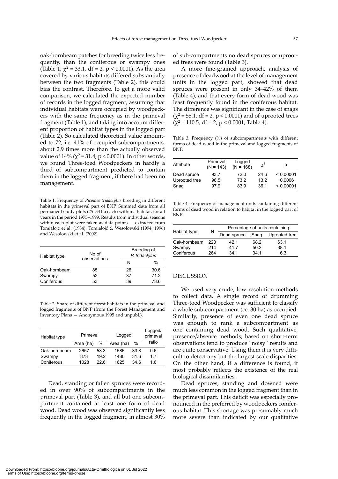oak-hornbeam patches for breeding twice less frequently, than the coniferous or swampy ones (Table 1,  $\chi^2$  = 33.1, df = 2, p < 0.0001). As the area covered by various habitats differed substantially between the two fragments (Table 2), this could bias the contrast. Therefore, to get a more valid comparison, we calculated the expected number of records in the logged fragment, assuming that individual habitats were occupied by woodpeckers with the same frequency as in the primeval fragment (Table 1), and taking into account different proportion of habitat types in the logged part (Table 2). So calculated theoretical value amounted to 72, i.e. 41% of occupied subcompartments, about 2.9 times more than the actually observed value of 14% ( $\chi^2$  = 31.4, p < 0.0001). In other words, we found Three-toed Woodpeckers in hardly a third of subcompartment predicted to contain them in the logged fragment, if there had been no management.

Table 1. Frequency of *Picoides tridactylus* breeding in different habitats in the primeval part of BNP. Summed data from all permanent study plots (25–33 ha each) within a habitat, for all years in the period 1975–1999. Results from individual seasons within each plot were taken as data points — extracted from Tomiałojć et al. (1984), Tomiałojć & Wesołowski (1994, 1996) and Wesołowski et al. (2002).

| Habitat type | No of        | Breeding of<br>P. tridactylus |      |
|--------------|--------------|-------------------------------|------|
|              | observations | N                             | $\%$ |
| Oak-hornbeam | 85           | 26                            | 30.6 |
| Swampy       | 52           | 37                            | 71.2 |
| Coniferous   | 53           | 39                            | 73.6 |

Table 2. Share of different forest habitats in the primeval and logged fragments of BNP (from the Forest Management and Inventory Plans — Anonymous 1995 and unpubl.).

| Habitat type | Primeval  |               | Logged    |      | Logged/<br>primeval |
|--------------|-----------|---------------|-----------|------|---------------------|
|              | Area (ha) | $\frac{0}{0}$ | Area (ha) | $\%$ | ratio               |
| Oak-hornbeam | 2657      | 58.3          | 1586      | 33.8 | 0.6                 |
| Swampy       | 873       | 19.2          | 1480      | 31.6 | 17                  |
| Coniferous   | 1028      | 22 B          | 1625      | 346  | 16                  |

Dead, standing or fallen spruces were recorded in over 90% of subcompartments in the primeval part (Table 3), and all but one subcompartment contained at least one form of dead wood. Dead wood was observed significantly less frequently in the logged fragment, in almost 30%

of sub-compartments no dead spruces or uprooted trees were found (Table 3).

A more fine-grained approach, analysis of presence of deadwood at the level of management units in the logged part, showed that dead spruces were present in only 34–42% of them (Table 4), and that every form of dead wood was least frequently found in the coniferous habitat. The difference was significant in the case of snags  $(χ² = 55.1, df = 2, p < 0.0001)$  and of uprooted trees  $(\chi^2 = 110.5, df = 2, p < 0.0001, Table 4).$ 

Table 3. Frequency (%) of subcompartments with different forms of dead wood in the primeval and logged fragments of BNP.

| Attribute     | Primeval<br>$(N = 143)$ | Logged<br>$(N = 168)$ | $\chi^2$ | р         |
|---------------|-------------------------|-----------------------|----------|-----------|
| Dead spruce   | 93.7                    | 72.0                  | 24.6     | < 0.00001 |
| Uprooted tree | 96.5                    | 73.2                  | 13.2     | 0.0006    |
| Snag          | 979                     | 83.9                  | 36.1     | < 0.00001 |

Table 4. Frequency of management units containing different forms of dead wood in relation to habitat in the logged part of BNP.

| Habitat type | N   | Percentage of units containing: |      |               |
|--------------|-----|---------------------------------|------|---------------|
|              |     | Dead spruce                     | Snag | Uprooted tree |
| Oak-hornbeam | 223 | 421                             | 68.2 | 63.1          |
| Swampy       | 214 | 41.7                            | 50.2 | 38.1          |
| Coniferous   | 264 | 34 <sub>1</sub>                 | 34 1 | 16.3          |

# DISCUSSION

We used very crude, low resolution methods to collect data. A single record of drumming Three-toed Woodpecker was sufficient to classify a whole sub-compartment (ce. 30 ha) as occupied. Similarly, presence of even one dead spruce was enough to rank a subcompartment as one containing dead wood. Such qualitative, presence/absence methods, based on short-term observations tend to produce "noisy" results and are quite conservative. Using them it is very difficult to detect any but the largest scale disparities. On the other hand, if a difference is found, it most probably reflects the existence of the real biological dissimilarities.

Dead spruces, standing and downed were much less common in the logged fragment than in the primeval part. This deficit was especially pronounced in the preferred by woodpeckers coniferous habitat. This shortage was presumably much more severe than indicated by our qualitative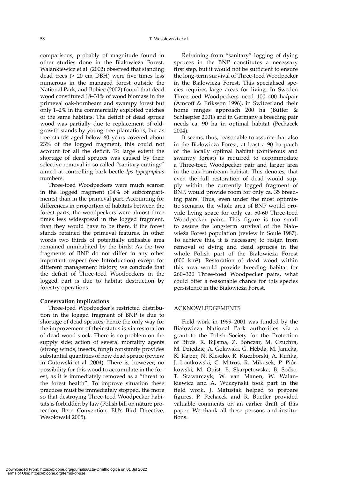comparisons, probably of magnitude found in other studies done in the Białowieża Forest. Walankiewicz et al. (2002) observed that standing dead trees (> 20 cm DBH) were five times less numerous in the managed forest outside the National Park, and Bobiec (2002) found that dead wood constituted 18–31% of wood biomass in the primeval oak-hornbeam and swampy forest but only 1–2% in the commercially exploited patches of the same habitats. The deficit of dead spruce wood was partially due to replacement of oldgrowth stands by young tree plantations, but as tree stands aged below 60 years covered about 23% of the logged fragment, this could not account for all the deficit. To large extent the shortage of dead spruces was caused by their selective removal in so called "sanitary cuttings" aimed at controlling bark beetle *Ips typographus* numbers.

Three-toed Woodpeckers were much scarcer in the logged fragment (14% of subcompartments) than in the primeval part. Accounting for differences in proportion of habitats between the forest parts, the woodpeckers were almost three times less widespread in the logged fragment, than they would have to be there, if the forest stands retained the primeval features. In other words two thirds of potentially utilisable area remained uninhabited by the birds. As the two fragments of BNP do not differ in any other important respect (see Introduction) except for different management history, we conclude that the deficit of Three-toed Woodpeckers in the logged part is due to habitat destruction by forestry operations.

## **Conservation implications**

Three-toed Woodpecker's restricted distribution in the logged fragment of BNP is due to shortage of dead spruces; hence the only way for the improvement of their status is via restoration of dead wood stock. There is no problem on the supply side; action of several mortality agents (strong winds, insects, fungi) constantly provides substantial quantities of new dead spruce (review in Gutowski et al. 2004). There is, however, no possibility for this wood to accumulate in the forest, as it is immediately removed as a "threat to the forest health". To improve situation these practices must be immediately stopped, the more so that destroying Three-toed Woodpecker habitats is forbidden by law (Polish bill on nature protection, Bern Convention, EU's Bird Directive, Wesołowski 2005).

Refraining from "sanitary" logging of dying spruces in the BNP constitutes a necessary first step, but it would not be sufficient to ensure the long-term survival of Three-toed Woodpecker in the Białowieża Forest. This specialised species requires large areas for living. In Sweden Three-toed Woodpeckers need 100–400 ha/pair (Amcoff & Eriksson 1996), in Switzerland their home ranges approach 200 ha (Bütler & Schlaepfer 2001) and in Germany a breeding pair needs ca. 90 ha in optimal habitat (Pechacek 2004).

It seems, thus, reasonable to assume that also in the Białowieża Forest, at least a 90 ha patch of the locally optimal habitat (coniferous and swampy forest) is required to accommodate a Three-toed Woodpecker pair and larger area in the oak-hornbeam habitat. This denotes, that even the full restoration of dead would supply within the currently logged fragment of BNP, would provide room for only ca. 35 breeding pairs. Thus, even under the most optimistic scenario, the whole area of BNP would provide living space for only ca. 50-60 Three-toed Woodpecker pairs. This figure is too small to assure the long-term survival of the Białowieża Forest population (review in Soulé 1987). To achieve this, it is necessary, to resign from removal of dying and dead spruces in the whole Polish part of the Białowieża Forest  $(600 \text{ km}^2)$ . Restoration of dead wood within this area would provide breeding habitat for 260–320 Three-toed Woodpecker pairs, what could offer a reasonable chance for this species persistence in the Białowieża Forest.

# ACKNOWLEDGEMENTS

Field work in 1999–2001 was funded by the Białowieża National Park authorities via a grant to the Polish Society for the Protection of Birds. R. Bijlsma, Z. Bonczar, M. Czuchra, M. Dziedzic, A. Goławski, G. Hebda, M. Janicka, K. Kajzer, N. Kleszko, R. Kuczborski, A. Kuńka, J. Lontkowski, C. Mitrus, R. Mikusek, P. Piórkowski, M. Quist, E. Skarpetowska, B. Soćko, T. Stawarczyk, W. van Manen, W. Walankiewicz and A. Wuczyński took part in the field work. J. Matusiak helped to prepare figures. P. Pechacek and R. Buetler provided valuable comments on an earlier draft of this paper. We thank all these persons and institutions.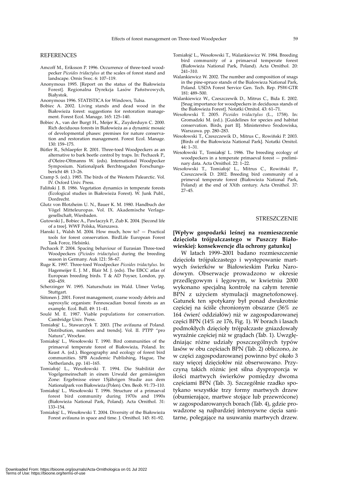#### REFERENCES

- Amcoff M., Eriksson P. 1996. Occurrence of three-toed woodpecker *Picoides tridactylus* at the scales of forest stand and landscape. Ornis Svec. 6: 107–119.
- Anonymous 1995. [Report on the status of the Białowieża Forest]. Regionalna Dyrekcja Lasów Państwowych, Białystok.
- Anonymous 1996. STATISTICA for Windows, Tulsa.
- Bobiec A. 2002. Living stands and dead wood in the Białowieża forest: suggestions for restoration management. Forest Ecol. Manage. 165: 125–140.
- Bobiec A., van der Burgt H., Meijer K., Zuyderduyn C. 2000. Rich deciduous forests in Białowieża as a dynamic mosaic of developmental phases: premises for nature conservation and restoration management. Forest Ecol. Manage. 130: 159–175.
- Bütler R., Schlaepfer R. 2001. Three-toed Woodpeckers as an alternative to bark beetle control by traps. In: Pechacek P., d'Oleire-Oltmanns W. (eds). International Woodpecker Symposium. Nationalpark Berchtesgaden Forschungsbericht 48: 13–26.
- Cramp S. (ed.). 1985. The birds of the Western Palearctic. Vol. IV. Oxford Univ. Press.
- Faliński J. B. 1986. Vegetation dynamics in temperate forests (Ecological studies in Białowieża Forest). W. Junk Publ., Dordrecht.
- Glutz von Blotzheim U. N., Bauer K. M. 1980. Handbuch der Vögel Mitteleuropas. Vol. IX. Akademische Verlagsgesellschaft, Wiesbaden.
- Gutowski J., Bobiec A., Pawlaczyk P., Zub K. 2004. [Second life of a tree]. WWF Polska, Warszawa.
- Hanski I., Walsh M. 2004. How much, how to? Practical tools for forest conservation. BirdLife European Forest Task Force, Helsinki.
- Pechacek P. 2004. Spacing behaviour of Eurasian Three-toed Woodpeckers (*Piciodes tridactylus*) during the breeding season in Germany. Auk 121: 58–67.
- Ruge K. 1997. Three-toed Woodpecker *Picoides tridactylus*. In: Hagemeijer E. J. M , Blair M. J. (eds). The EBCC atlas of European breeding birds. T & AD Poyser, London, pp. 450–459.
- Scherzinger W. 1995. Naturschutz im Wald. Ulmer Verlag, Stuttgart.
- Siitonen J. 2001. Forest management, coarse woody debris and saproxylic organism: Fennoscadian boreal forests as an example. Ecol. Bull. 49: 11–41.
- Soulé M. E. 1987. Viable populations for conservation. Cambridge Univ. Press.
- Tomiałojć L., Stawarczyk T. 2003. [The avifauna of Poland. Distribution, numbers and trends]. Vol. II. PTPP "pro Natura", Wrocław.
- Tomiałojć L., Wesołowski T. 1990. Bird communities of the primaeval temperate forest of Białowieża, Poland. In: Keast A. (ed.). Biogeography and ecology of forest bird communities. SPB Academic Publishing, Hague, The Netherlands, pp. 141–165.
- Tomiałojć L., Wesołowski T. 1994. Die Stabilität der Vogelgemeinschaft in einem Urwald der gemässigten Zone: Ergebnisse einer 15jährigen Studie aus dem Nationalpark von Białowieża (Polen). Orn. Beob. 91: 73–110.
- Tomiałojć L., Wesołowski T. 1996. Structure of a primaeval forest bird community during 1970s and 1990s (Białowieża National Park, Poland). Acta Ornithol. 31: 133–154.
- Tomiałojć L., Wesołowski T. 2004. Diversity of the Białowieża Forest avifauna in space and time. J. Ornithol. 145: 81–92.
- Tomiałojć L., Wesołowski T., Walankiewicz W. 1984. Breeding bird community of a primaeval temperate forest (Białowieża National Park, Poland). Acta Ornithol. 20: 241–310.
- Walankiewicz W. 2002. The number and composition of snags in the pine-spruce stands of the Bialowieza National Park, Poland. USDA Forest Service Gen. Tech. Rep. PSW-GTR 181: 489–500.
- Walankiewicz W., Czeszczewik D., Mitrus C., Bida E. 2002. [Snag importance for woodpeckers in deciduous stands of the Białowieża Forest]. Notatki Ornitol. 43: 61–71.
- Wesołowski T. 2005. *Picoides tridactylus* (L., 1758). In: Gromadzki M. (ed.). [Guidelines for species and habitat conservation. Birds, part II]. Ministerstwo Środowiska, Warszawa. pp. 280–283.
- Wesołowski T., Czeszczewik D., Mitrus C., Rowiński P. 2003. [Birds of the Białowieża National Park]. Notatki Ornitol. 44: 1–31.
- Wesołowski T., Tomiałojć L. 1986. The breeding ecology of woodpeckers in a temperate primaeval forest — preliminary data. Acta Ornithol. 22: 1–22.
- Wesołowski T., Tomiałojć L., Mitrus C., Rowiński P., Czeszczewik D. 2002. Breeding bird community of a primeval temperate forest (Białowieża National Park, Poland) at the end of XXth century. Acta Ornithol. 37: 27–45.

#### STRESZCZENIE

# **[Wpływ gospodarki leśnej na rozmieszczenie dzięcioła trójpalczastego w Puszczy Białowieskiej: konsekwencje dla ochrony gatunku]**

W latach 1999–2001 badano rozmieszczenie dzięcioła trójpalczastego i występowanie martwych świerków w Białowieskim Parku Narodowym. Obserwacje prowadzono w okresie przedlęgowym i lęgowym, w kwietniu 2000 wykonano specjalną kontrolę na całym terenie BPN z użyciem stymulacji magnetofonowej. Gatunek ten spotykany był ponad dwukrotnie częściej na ściśle chronionym obszarze (36% ze 164 ćwierć oddziałów) niż w zagospodarowanej części BPN (14% ze 176, Fig. 1). W borach i lasach podmokłych dzięcioły trójpalczaste gniazdowały wyraźnie częściej niż w grądach (Tab. 1). Uwzględniając różne udziały poszczególnych typów lasów w obu częściach BPN (Tab. 2) obliczono, że w części zagospodarowanej powinno być około 3 razy więcej dzięciołów niż obserwowano. Przyczyną takich różnic jest silna dysproporcja w ilości martwych świerków pomiędzy dwoma częściami BPN (Tab. 3). Szczególnie rzadko spotykano wszystkie trzy formy martwych drzew (obumierające, martwe stojące lub przewrócone) w zagospodarowanych borach (Tab. 4), gdzie prowadzone są najbardziej intensywne cięcia sanitarne, polegające na usuwaniu martwych drzew.

Terms of Use: https://bioone.org/terms-of-use